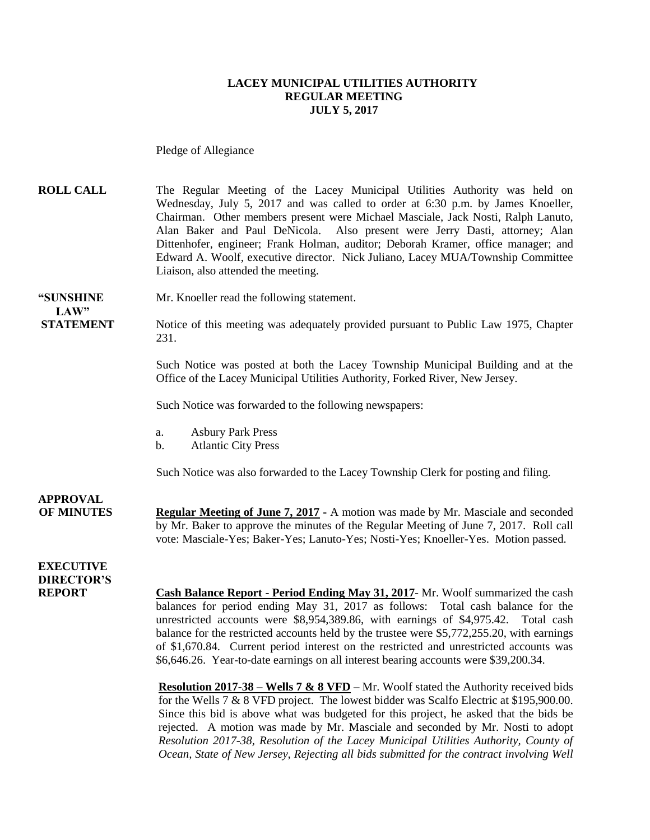#### **LACEY MUNICIPAL UTILITIES AUTHORITY REGULAR MEETING JULY 5, 2017**

Pledge of Allegiance

**ROLL CALL** The Regular Meeting of the Lacey Municipal Utilities Authority was held on Wednesday, July 5, 2017 and was called to order at 6:30 p.m. by James Knoeller, Chairman. Other members present were Michael Masciale, Jack Nosti, Ralph Lanuto, Alan Baker and Paul DeNicola. Also present were Jerry Dasti, attorney; Alan Dittenhofer, engineer; Frank Holman, auditor; Deborah Kramer, office manager; and Edward A. Woolf, executive director. Nick Juliano, Lacey MUA/Township Committee Liaison, also attended the meeting.

**"SUNSHINE** Mr. Knoeller read the following statement. **LAW"** 

**STATEMENT** Notice of this meeting was adequately provided pursuant to Public Law 1975, Chapter 231.

> Such Notice was posted at both the Lacey Township Municipal Building and at the Office of the Lacey Municipal Utilities Authority, Forked River, New Jersey.

Such Notice was forwarded to the following newspapers:

- a. Asbury Park Press
- b. Atlantic City Press

Such Notice was also forwarded to the Lacey Township Clerk for posting and filing.

**APPROVAL OF MINUTES Regular Meeting of June 7, 2017 -** A motion was made by Mr. Masciale and seconded by Mr. Baker to approve the minutes of the Regular Meeting of June 7, 2017. Roll call vote: Masciale-Yes; Baker-Yes; Lanuto-Yes; Nosti-Yes; Knoeller-Yes. Motion passed.

**EXECUTIVE DIRECTOR'S**

**Cash Balance Report - Period Ending May 31, 2017- Mr. Woolf summarized the cash** balances for period ending May 31, 2017 as follows: Total cash balance for the unrestricted accounts were \$8,954,389.86, with earnings of \$4,975.42. Total cash balance for the restricted accounts held by the trustee were \$5,772,255.20, with earnings of \$1,670.84. Current period interest on the restricted and unrestricted accounts was \$6,646.26. Year-to-date earnings on all interest bearing accounts were \$39,200.34.

**Resolution 2017-38 – Wells 7 & 8 VFD –** Mr. Woolf stated the Authority received bids for the Wells 7 & 8 VFD project. The lowest bidder was Scalfo Electric at \$195,900.00. Since this bid is above what was budgeted for this project, he asked that the bids be rejected. A motion was made by Mr. Masciale and seconded by Mr. Nosti to adopt *Resolution 2017-38, Resolution of the Lacey Municipal Utilities Authority, County of Ocean, State of New Jersey, Rejecting all bids submitted for the contract involving Well*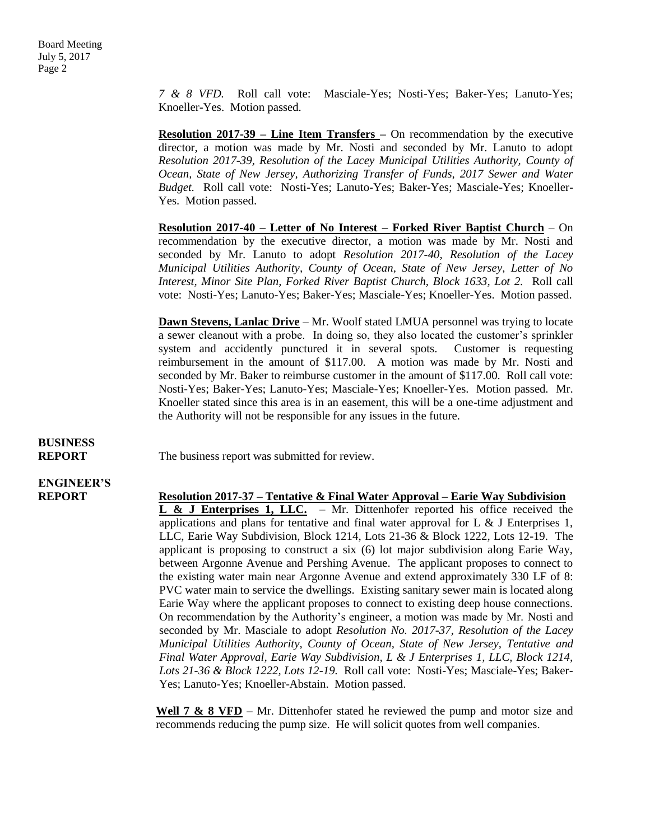*7 & 8 VFD.* Roll call vote: Masciale-Yes; Nosti-Yes; Baker-Yes; Lanuto-Yes; Knoeller-Yes. Motion passed.

**Resolution 2017-39 – Line Item Transfers –** On recommendation by the executive director, a motion was made by Mr. Nosti and seconded by Mr. Lanuto to adopt *Resolution 2017-39, Resolution of the Lacey Municipal Utilities Authority, County of Ocean, State of New Jersey, Authorizing Transfer of Funds, 2017 Sewer and Water Budget.* Roll call vote: Nosti-Yes; Lanuto-Yes; Baker-Yes; Masciale-Yes; Knoeller-Yes. Motion passed.

**Resolution 2017-40 – Letter of No Interest – Forked River Baptist Church** – On recommendation by the executive director, a motion was made by Mr. Nosti and seconded by Mr. Lanuto to adopt *Resolution 2017-40, Resolution of the Lacey Municipal Utilities Authority, County of Ocean, State of New Jersey, Letter of No Interest, Minor Site Plan, Forked River Baptist Church, Block 1633, Lot 2.* Roll call vote: Nosti-Yes; Lanuto-Yes; Baker-Yes; Masciale-Yes; Knoeller-Yes. Motion passed.

**Dawn Stevens, Lanlac Drive** – Mr. Woolf stated LMUA personnel was trying to locate a sewer cleanout with a probe. In doing so, they also located the customer's sprinkler system and accidently punctured it in several spots. Customer is requesting reimbursement in the amount of \$117.00. A motion was made by Mr. Nosti and seconded by Mr. Baker to reimburse customer in the amount of \$117.00. Roll call vote: Nosti-Yes; Baker-Yes; Lanuto-Yes; Masciale-Yes; Knoeller-Yes. Motion passed. Mr. Knoeller stated since this area is in an easement, this will be a one-time adjustment and the Authority will not be responsible for any issues in the future.

**BUSINESS**

**REPORT** The business report was submitted for review.

# **ENGINEER'S**

**REPORT Resolution 2017-37 – Tentative & Final Water Approval – Earie Way Subdivision L & J Enterprises 1, LLC.** – Mr. Dittenhofer reported his office received the applications and plans for tentative and final water approval for  $L \& J$  Enterprises 1, LLC, Earie Way Subdivision, Block 1214, Lots 21-36 & Block 1222, Lots 12-19. The applicant is proposing to construct a six (6) lot major subdivision along Earie Way, between Argonne Avenue and Pershing Avenue. The applicant proposes to connect to the existing water main near Argonne Avenue and extend approximately 330 LF of 8: PVC water main to service the dwellings. Existing sanitary sewer main is located along Earie Way where the applicant proposes to connect to existing deep house connections. On recommendation by the Authority's engineer, a motion was made by Mr. Nosti and seconded by Mr. Masciale to adopt *Resolution No. 2017-37, Resolution of the Lacey Municipal Utilities Authority, County of Ocean, State of New Jersey, Tentative and Final Water Approval, Earie Way Subdivision, L & J Enterprises 1, LLC, Block 1214, Lots 21-36 & Block 1222, Lots 12-19.* Roll call vote: Nosti-Yes; Masciale-Yes; Baker-Yes; Lanuto-Yes; Knoeller-Abstain. Motion passed.

> Well 7 & 8 VFD – Mr. Dittenhofer stated he reviewed the pump and motor size and recommends reducing the pump size. He will solicit quotes from well companies.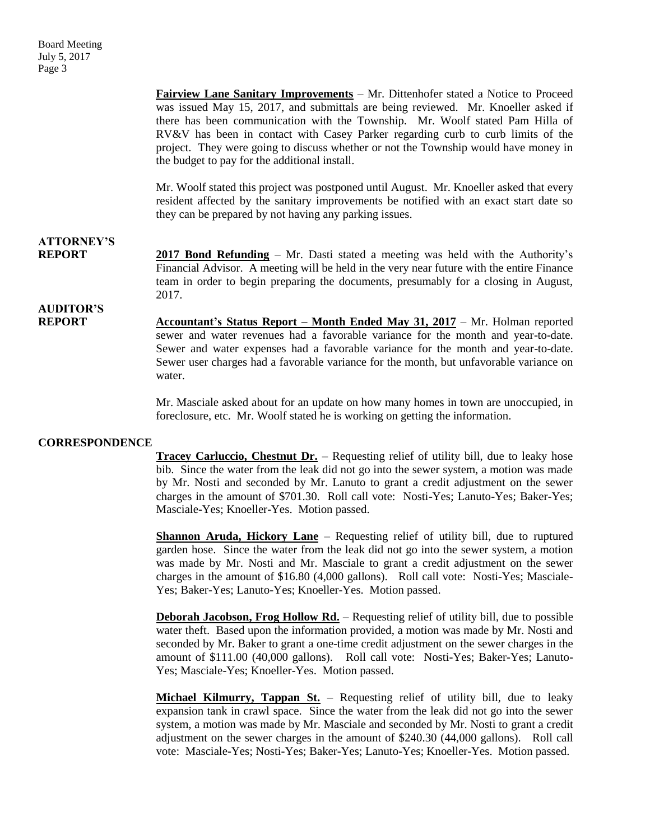**Fairview Lane Sanitary Improvements** – Mr. Dittenhofer stated a Notice to Proceed was issued May 15, 2017, and submittals are being reviewed. Mr. Knoeller asked if there has been communication with the Township. Mr. Woolf stated Pam Hilla of RV&V has been in contact with Casey Parker regarding curb to curb limits of the project. They were going to discuss whether or not the Township would have money in the budget to pay for the additional install.

Mr. Woolf stated this project was postponed until August. Mr. Knoeller asked that every resident affected by the sanitary improvements be notified with an exact start date so they can be prepared by not having any parking issues.

## **ATTORNEY'S**

**REPORT 2017 Bond Refunding** – Mr. Dasti stated a meeting was held with the Authority's Financial Advisor. A meeting will be held in the very near future with the entire Finance team in order to begin preparing the documents, presumably for a closing in August, 2017.

#### **AUDITOR'S REPORT Accountant's Status Report – Month Ended May 31, 2017** – Mr. Holman reported sewer and water revenues had a favorable variance for the month and year-to-date. Sewer and water expenses had a favorable variance for the month and year-to-date. Sewer user charges had a favorable variance for the month, but unfavorable variance on water.

Mr. Masciale asked about for an update on how many homes in town are unoccupied, in foreclosure, etc. Mr. Woolf stated he is working on getting the information.

#### **CORRESPONDENCE**

**Tracey Carluccio, Chestnut Dr.** – Requesting relief of utility bill, due to leaky hose bib. Since the water from the leak did not go into the sewer system, a motion was made by Mr. Nosti and seconded by Mr. Lanuto to grant a credit adjustment on the sewer charges in the amount of \$701.30. Roll call vote: Nosti-Yes; Lanuto-Yes; Baker-Yes; Masciale-Yes; Knoeller-Yes. Motion passed.

**Shannon Aruda, Hickory Lane** – Requesting relief of utility bill, due to ruptured garden hose. Since the water from the leak did not go into the sewer system, a motion was made by Mr. Nosti and Mr. Masciale to grant a credit adjustment on the sewer charges in the amount of \$16.80 (4,000 gallons). Roll call vote: Nosti-Yes; Masciale-Yes; Baker-Yes; Lanuto-Yes; Knoeller-Yes. Motion passed.

**Deborah Jacobson, Frog Hollow Rd.** – Requesting relief of utility bill, due to possible water theft. Based upon the information provided, a motion was made by Mr. Nosti and seconded by Mr. Baker to grant a one-time credit adjustment on the sewer charges in the amount of \$111.00 (40,000 gallons). Roll call vote: Nosti-Yes; Baker-Yes; Lanuto-Yes; Masciale-Yes; Knoeller-Yes. Motion passed.

**Michael Kilmurry, Tappan St.** – Requesting relief of utility bill, due to leaky expansion tank in crawl space. Since the water from the leak did not go into the sewer system, a motion was made by Mr. Masciale and seconded by Mr. Nosti to grant a credit adjustment on the sewer charges in the amount of \$240.30 (44,000 gallons). Roll call vote: Masciale-Yes; Nosti-Yes; Baker-Yes; Lanuto-Yes; Knoeller-Yes. Motion passed.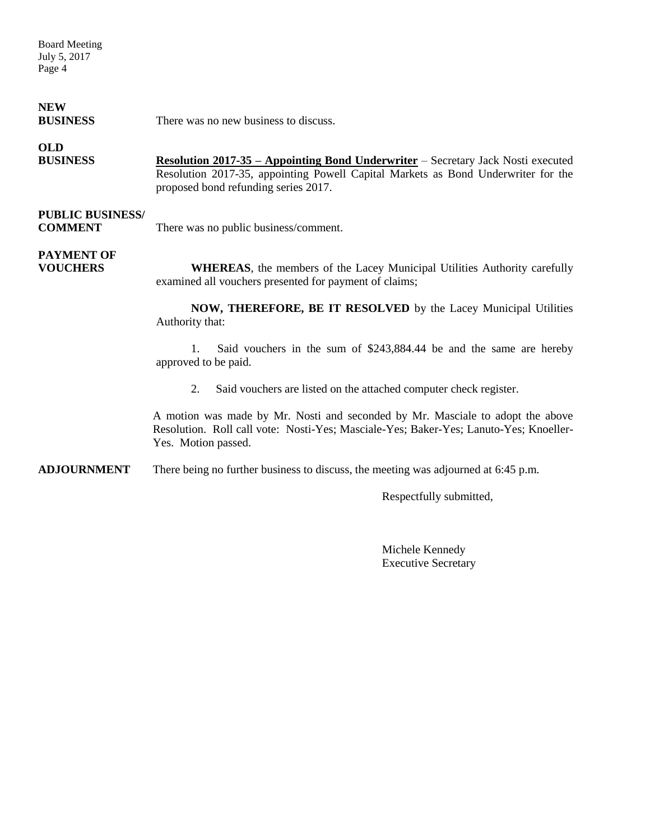Board Meeting July 5, 2017 Page 4

### **NEW**

**BUSINESS** There was no new business to discuss.

### **OLD**

**BUSINESS Resolution 2017-35 – Appointing Bond Underwriter** – Secretary Jack Nosti executed Resolution 2017-35, appointing Powell Capital Markets as Bond Underwriter for the proposed bond refunding series 2017.

### **PUBLIC BUSINESS/**

**COMMENT** There was no public business/comment.

## **PAYMENT OF**

**VOUCHERS WHEREAS**, the members of the Lacey Municipal Utilities Authority carefully examined all vouchers presented for payment of claims;

> **NOW, THEREFORE, BE IT RESOLVED** by the Lacey Municipal Utilities Authority that:

> 1. Said vouchers in the sum of \$243,884.44 be and the same are hereby approved to be paid.

2. Said vouchers are listed on the attached computer check register.

A motion was made by Mr. Nosti and seconded by Mr. Masciale to adopt the above Resolution. Roll call vote: Nosti-Yes; Masciale-Yes; Baker-Yes; Lanuto-Yes; Knoeller-Yes. Motion passed.

**ADJOURNMENT** There being no further business to discuss, the meeting was adjourned at 6:45 p.m.

Respectfully submitted,

Michele Kennedy Executive Secretary